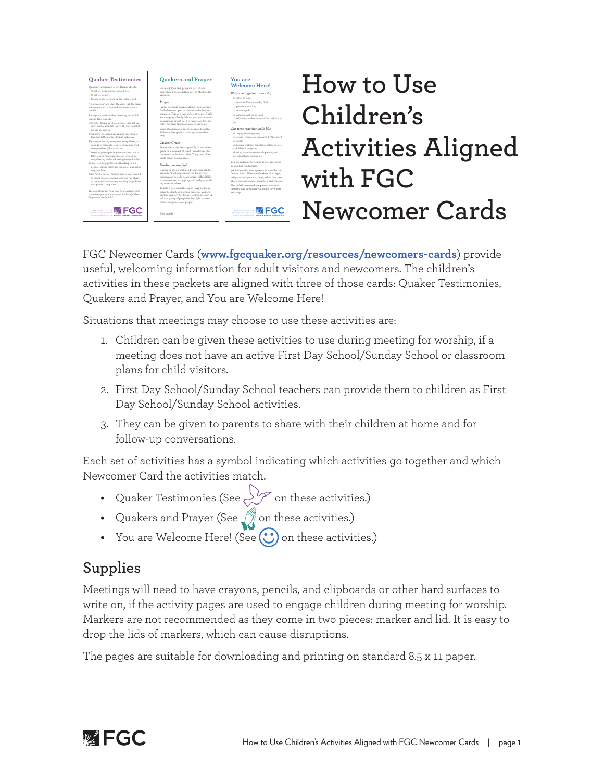

# **How to Use Children's Activities Aligned with FGC Newcomer Cards**

FGC Newcomer Cards (**www.fgcquaker.org/resources/newcomers-cards**) provide useful, welcoming information for adult visitors and newcomers. The children's activities in these packets are aligned with three of those cards: Quaker Testimonies, Quakers and Prayer, and You are Welcome Here!

Situations that meetings may choose to use these activities are:

- 1. Children can be given these activities to use during meeting for worship, if a meeting does not have an active First Day School/Sunday School or classroom plans for child visitors.
- 2. First Day School/Sunday School teachers can provide them to children as First Day School/Sunday School activities.
- 3. They can be given to parents to share with their children at home and for follow-up conversations.

Each set of activities has a symbol indicating which activities go together and which Newcomer Card the activities match.

- Quaker Testimonies (See  $\bigvee^\bullet$  on these activities.)
- Quakers and Prayer (See **1)** on these activities.)
- You are Welcome Here! (See  $\bigodot$  on these activities.)

## **Supplies**

Meetings will need to have crayons, pencils, and clipboards or other hard surfaces to write on, if the activity pages are used to engage children during meeting for worship. Markers are not recommended as they come in two pieces: marker and lid. It is easy to drop the lids of markers, which can cause disruptions.

The pages are suitable for downloading and printing on standard 8.5 x 11 paper.

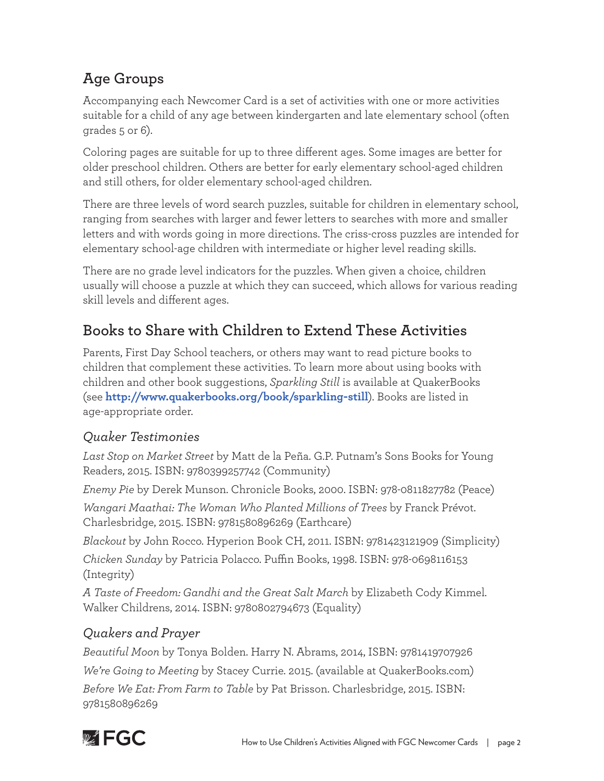## **Age Groups**

Accompanying each Newcomer Card is a set of activities with one or more activities suitable for a child of any age between kindergarten and late elementary school (often grades 5 or 6).

Coloring pages are suitable for up to three different ages. Some images are better for older preschool children. Others are better for early elementary school-aged children and still others, for older elementary school-aged children.

There are three levels of word search puzzles, suitable for children in elementary school, ranging from searches with larger and fewer letters to searches with more and smaller letters and with words going in more directions. The criss-cross puzzles are intended for elementary school-age children with intermediate or higher level reading skills.

There are no grade level indicators for the puzzles. When given a choice, children usually will choose a puzzle at which they can succeed, which allows for various reading skill levels and different ages.

## **Books to Share with Children to Extend These Activities**

Parents, First Day School teachers, or others may want to read picture books to children that complement these activities. To learn more about using books with children and other book suggestions, *Sparkling Still* is available at QuakerBooks (see **http://www.quakerbooks.org/book/sparkling-still**). Books are listed in age-appropriate order.

#### *Quaker Testimonies*

*Last Stop on Market Street* by Matt de la Peña. G.P. Putnam's Sons Books for Young Readers, 2015. ISBN: 9780399257742 (Community)

*Enemy Pie* by Derek Munson. Chronicle Books, 2000. ISBN: 978-0811827782 (Peace)

*Wangari Maathai: The Woman Who Planted Millions of Trees* by Franck Prévot. Charlesbridge, 2015. ISBN: 9781580896269 (Earthcare)

*Blackout* by John Rocco. Hyperion Book CH, 2011. ISBN: 9781423121909 (Simplicity)

*Chicken Sunday* by Patricia Polacco. Puffin Books, 1998. ISBN: 978-0698116153 (Integrity)

*A Taste of Freedom: Gandhi and the Great Salt March* by Elizabeth Cody Kimmel. Walker Childrens, 2014. ISBN: 9780802794673 (Equality)

### *Quakers and Prayer*

*Beautiful Moon* by Tonya Bolden. Harry N. Abrams, 2014, ISBN: 9781419707926 *We're Going to Meeting* by Stacey Currie. 2015. (available at QuakerBooks.com) *Before We Eat: From Farm to Table* by Pat Brisson. Charlesbridge, 2015. ISBN: 9781580896269